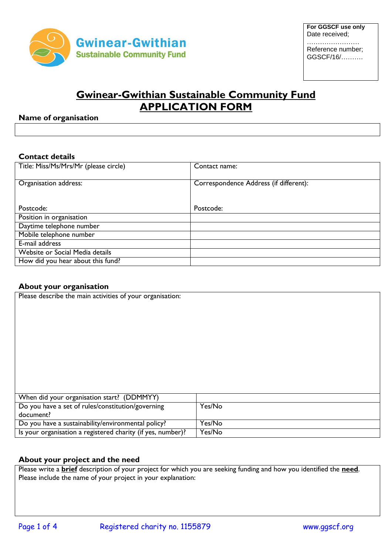

Reference number; GGSCF/16/……….

# **Gwinear-Gwithian Sustainable Community Fund APPLICATION FORM**

## **Name of organisation**

## **Contact details**

| Title: Miss/Ms/Mrs/Mr (please circle) | Contact name:                          |
|---------------------------------------|----------------------------------------|
| Organisation address:                 | Correspondence Address (if different): |
| Postcode:                             | Postcode:                              |
| Position in organisation              |                                        |
| Daytime telephone number              |                                        |
| Mobile telephone number               |                                        |
| E-mail address                        |                                        |
| Website or Social Media details       |                                        |
| How did you hear about this fund?     |                                        |

## **About your organisation**

| Please describe the main activities of your organisation:   |        |
|-------------------------------------------------------------|--------|
|                                                             |        |
|                                                             |        |
|                                                             |        |
|                                                             |        |
|                                                             |        |
|                                                             |        |
|                                                             |        |
|                                                             |        |
|                                                             |        |
| When did your organisation start? (DDMMYY)                  |        |
| Do you have a set of rules/constitution/governing           | Yes/No |
| document?                                                   |        |
| Do you have a sustainability/environmental policy?          | Yes/No |
| Is your organisation a registered charity (if yes, number)? | Yes/No |

## **About your project and the need**

Please write a **brief** description of your project for which you are seeking funding and how you identified the **need**. Please include the name of your project in your explanation: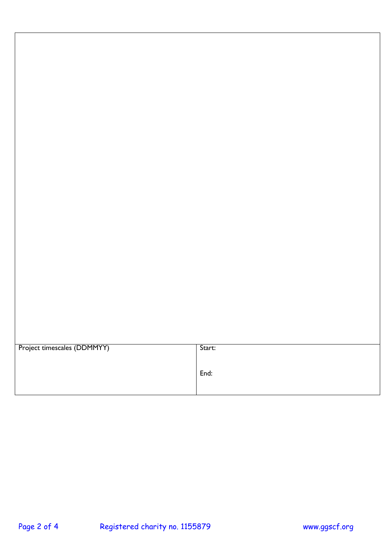| Project timescales (DDMMYY) | Start: |
|-----------------------------|--------|
|                             |        |
|                             |        |
|                             | End:   |
|                             |        |
|                             |        |
|                             |        |
|                             |        |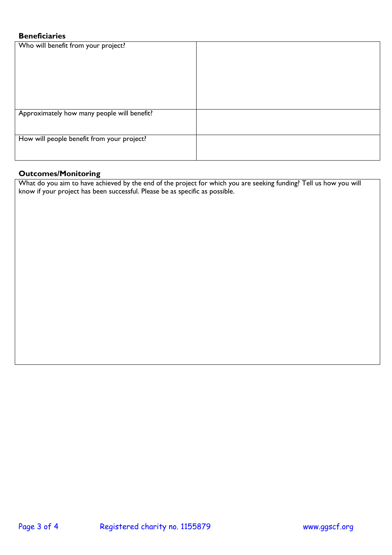# **Beneficiaries**

| Who will benefit from your project?         |  |
|---------------------------------------------|--|
|                                             |  |
|                                             |  |
|                                             |  |
|                                             |  |
|                                             |  |
|                                             |  |
| Approximately how many people will benefit? |  |
|                                             |  |
|                                             |  |
| How will people benefit from your project?  |  |
|                                             |  |
|                                             |  |
|                                             |  |

### **Outcomes/Monitoring**

What do you aim to have achieved by the end of the project for which you are seeking funding? Tell us how you will know if your project has been successful. Please be as specific as possible.